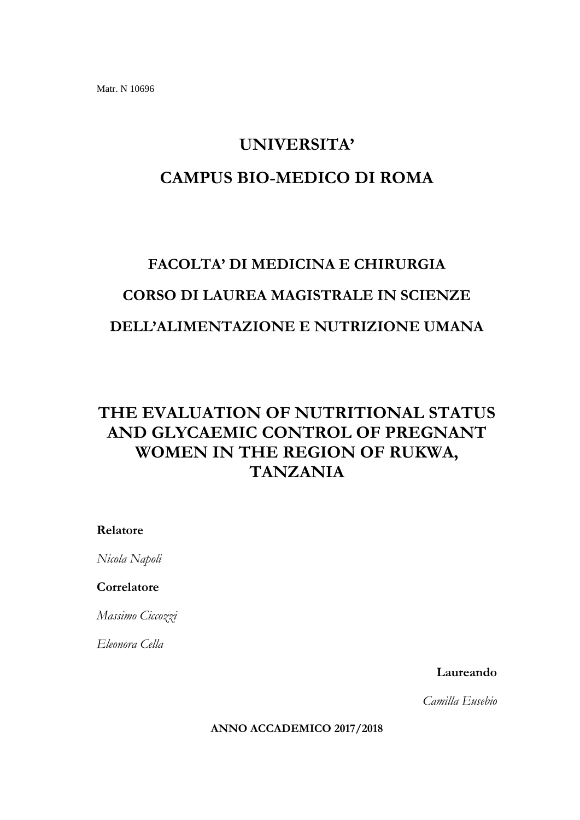### **UNIVERSITA'**

## **CAMPUS BIO-MEDICO DI ROMA**

# **FACOLTA' DI MEDICINA E CHIRURGIA CORSO DI LAUREA MAGISTRALE IN SCIENZE DELL'ALIMENTAZIONE E NUTRIZIONE UMANA**

# **THE EVALUATION OF NUTRITIONAL STATUS AND GLYCAEMIC CONTROL OF PREGNANT WOMEN IN THE REGION OF RUKWA, TANZANIA**

### **Relatore**

*Nicola Napoli*

### **Correlatore**

*Massimo Ciccozzi*

*Eleonora Cella* 

**Laureando** 

*Camilla Eusebio*

**ANNO ACCADEMICO 2017/2018**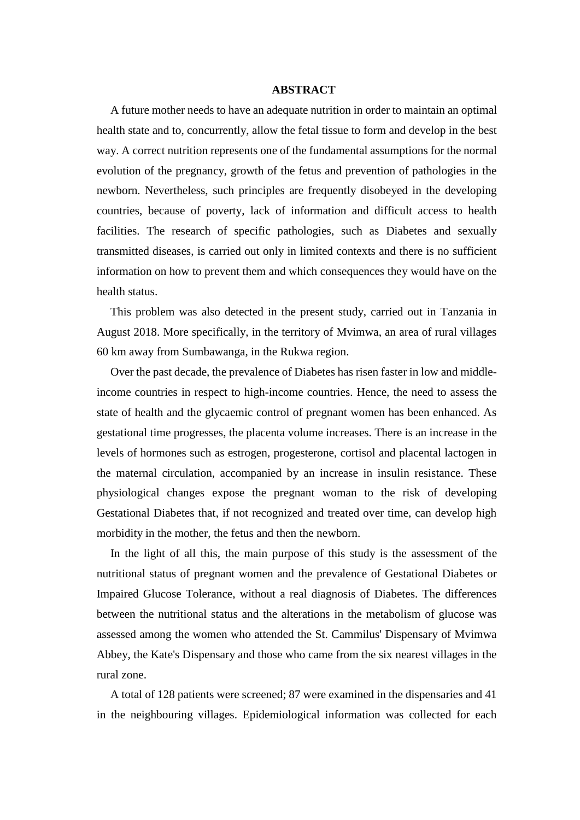#### **ABSTRACT**

A future mother needs to have an adequate nutrition in order to maintain an optimal health state and to, concurrently, allow the fetal tissue to form and develop in the best way. A correct nutrition represents one of the fundamental assumptions for the normal evolution of the pregnancy, growth of the fetus and prevention of pathologies in the newborn. Nevertheless, such principles are frequently disobeyed in the developing countries, because of poverty, lack of information and difficult access to health facilities. The research of specific pathologies, such as Diabetes and sexually transmitted diseases, is carried out only in limited contexts and there is no sufficient information on how to prevent them and which consequences they would have on the health status.

This problem was also detected in the present study, carried out in Tanzania in August 2018. More specifically, in the territory of Mvimwa, an area of rural villages 60 km away from Sumbawanga, in the Rukwa region.

Over the past decade, the prevalence of Diabetes has risen faster in low and middleincome countries in respect to high-income countries. Hence, the need to assess the state of health and the glycaemic control of pregnant women has been enhanced. As gestational time progresses, the placenta volume increases. There is an increase in the levels of hormones such as estrogen, progesterone, cortisol and placental lactogen in the maternal circulation, accompanied by an increase in insulin resistance. These physiological changes expose the pregnant woman to the risk of developing Gestational Diabetes that, if not recognized and treated over time, can develop high morbidity in the mother, the fetus and then the newborn.

In the light of all this, the main purpose of this study is the assessment of the nutritional status of pregnant women and the prevalence of Gestational Diabetes or Impaired Glucose Tolerance, without a real diagnosis of Diabetes. The differences between the nutritional status and the alterations in the metabolism of glucose was assessed among the women who attended the St. Cammilus' Dispensary of Mvimwa Abbey, the Kate's Dispensary and those who came from the six nearest villages in the rural zone.

A total of 128 patients were screened; 87 were examined in the dispensaries and 41 in the neighbouring villages. Epidemiological information was collected for each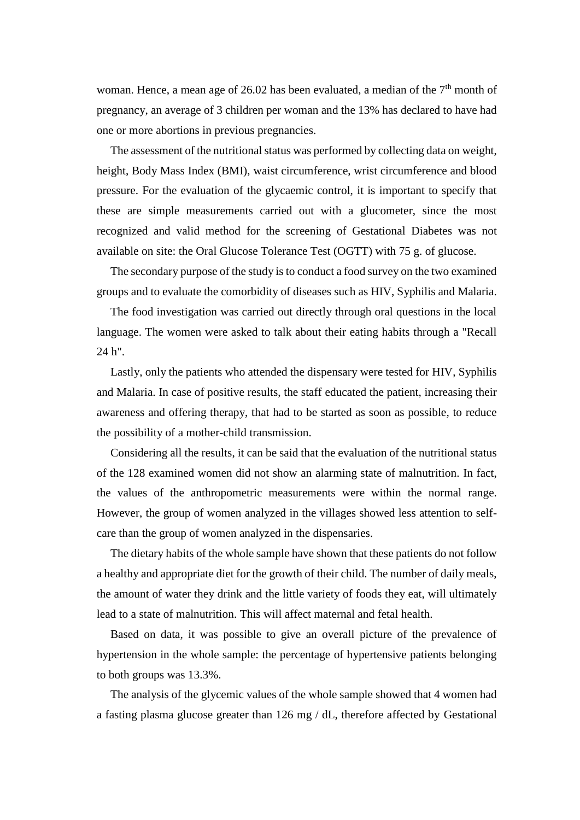woman. Hence, a mean age of 26.02 has been evaluated, a median of the  $7<sup>th</sup>$  month of pregnancy, an average of 3 children per woman and the 13% has declared to have had one or more abortions in previous pregnancies.

The assessment of the nutritional status was performed by collecting data on weight, height, Body Mass Index (BMI), waist circumference, wrist circumference and blood pressure. For the evaluation of the glycaemic control, it is important to specify that these are simple measurements carried out with a glucometer, since the most recognized and valid method for the screening of Gestational Diabetes was not available on site: the Oral Glucose Tolerance Test (OGTT) with 75 g. of glucose.

The secondary purpose of the study is to conduct a food survey on the two examined groups and to evaluate the comorbidity of diseases such as HIV, Syphilis and Malaria.

The food investigation was carried out directly through oral questions in the local language. The women were asked to talk about their eating habits through a "Recall 24 h".

Lastly, only the patients who attended the dispensary were tested for HIV, Syphilis and Malaria. In case of positive results, the staff educated the patient, increasing their awareness and offering therapy, that had to be started as soon as possible, to reduce the possibility of a mother-child transmission.

Considering all the results, it can be said that the evaluation of the nutritional status of the 128 examined women did not show an alarming state of malnutrition. In fact, the values of the anthropometric measurements were within the normal range. However, the group of women analyzed in the villages showed less attention to selfcare than the group of women analyzed in the dispensaries.

The dietary habits of the whole sample have shown that these patients do not follow a healthy and appropriate diet for the growth of their child. The number of daily meals, the amount of water they drink and the little variety of foods they eat, will ultimately lead to a state of malnutrition. This will affect maternal and fetal health.

Based on data, it was possible to give an overall picture of the prevalence of hypertension in the whole sample: the percentage of hypertensive patients belonging to both groups was 13.3%.

The analysis of the glycemic values of the whole sample showed that 4 women had a fasting plasma glucose greater than 126 mg / dL, therefore affected by Gestational